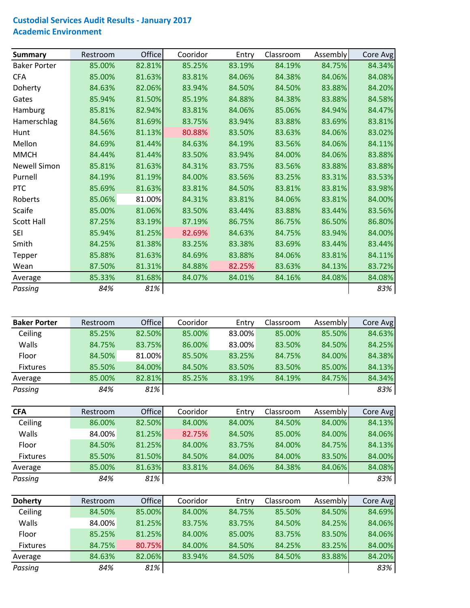## **Custodial Services Audit Results ‐ January 2017 Academic Environment**

| <b>Summary</b>      | Restroom | <b>Office</b> | Cooridor | Entry  | Classroom | Assembly | Core Avg |
|---------------------|----------|---------------|----------|--------|-----------|----------|----------|
| <b>Baker Porter</b> | 85.00%   | 82.81%        | 85.25%   | 83.19% | 84.19%    | 84.75%   | 84.34%   |
| <b>CFA</b>          | 85.00%   | 81.63%        | 83.81%   | 84.06% | 84.38%    | 84.06%   | 84.08%   |
| Doherty             | 84.63%   | 82.06%        | 83.94%   | 84.50% | 84.50%    | 83.88%   | 84.20%   |
| Gates               | 85.94%   | 81.50%        | 85.19%   | 84.88% | 84.38%    | 83.88%   | 84.58%   |
| Hamburg             | 85.81%   | 82.94%        | 83.81%   | 84.06% | 85.06%    | 84.94%   | 84.47%   |
| Hamerschlag         | 84.56%   | 81.69%        | 83.75%   | 83.94% | 83.88%    | 83.69%   | 83.81%   |
| Hunt                | 84.56%   | 81.13%        | 80.88%   | 83.50% | 83.63%    | 84.06%   | 83.02%   |
| Mellon              | 84.69%   | 81.44%        | 84.63%   | 84.19% | 83.56%    | 84.06%   | 84.11%   |
| <b>MMCH</b>         | 84.44%   | 81.44%        | 83.50%   | 83.94% | 84.00%    | 84.06%   | 83.88%   |
| <b>Newell Simon</b> | 85.81%   | 81.63%        | 84.31%   | 83.75% | 83.56%    | 83.88%   | 83.88%   |
| Purnell             | 84.19%   | 81.19%        | 84.00%   | 83.56% | 83.25%    | 83.31%   | 83.53%   |
| <b>PTC</b>          | 85.69%   | 81.63%        | 83.81%   | 84.50% | 83.81%    | 83.81%   | 83.98%   |
| Roberts             | 85.06%   | 81.00%        | 84.31%   | 83.81% | 84.06%    | 83.81%   | 84.00%   |
| Scaife              | 85.00%   | 81.06%        | 83.50%   | 83.44% | 83.88%    | 83.44%   | 83.56%   |
| <b>Scott Hall</b>   | 87.25%   | 83.19%        | 87.19%   | 86.75% | 86.75%    | 86.50%   | 86.80%   |
| <b>SEI</b>          | 85.94%   | 81.25%        | 82.69%   | 84.63% | 84.75%    | 83.94%   | 84.00%   |
| Smith               | 84.25%   | 81.38%        | 83.25%   | 83.38% | 83.69%    | 83.44%   | 83.44%   |
| Tepper              | 85.88%   | 81.63%        | 84.69%   | 83.88% | 84.06%    | 83.81%   | 84.11%   |
| Wean                | 87.50%   | 81.31%        | 84.88%   | 82.25% | 83.63%    | 84.13%   | 83.72%   |
| Average             | 85.33%   | 81.68%        | 84.07%   | 84.01% | 84.16%    | 84.08%   | 84.08%   |
| Passing             | 84%      | 81%           |          |        |           |          | 83%      |

| <b>Baker Porter</b> | Restroom | <b>Office</b> | Cooridor      | Entry      | Classroom  | Assembly | Core Avg   |
|---------------------|----------|---------------|---------------|------------|------------|----------|------------|
| Ceiling             | 85.25%   | 82.50%        | 85.00%        | 83.00%     | 85.00%     | 85.50%   | 84.63%     |
| Walls               | 84.75%   | 83.75%        | 86.00%        | 83.00%     | 83.50%     | 84.50%   | 84.25%     |
| Floor               | 84.50%   | 81.00%        | 85.50%        | 83.25%     | 84.75%     | 84.00%   | 84.38%     |
| <b>Fixtures</b>     | 85.50%   | 84.00%        | 84.50%        | 83.50%     | 83.50%     | 85.00%   | 84.13%     |
| Average             | 85.00%   | 82.81%        | 85.25%        | 83.19%     | 84.19%     | 84.75%   | 84.34%     |
| Passing             | 84%      | 81%           |               |            |            |          | 83%        |
|                     |          |               |               |            |            |          |            |
| <b>CFA</b>          | Restroom | <b>Office</b> | Cooridor      | Entry      | Classroom  | Assembly | Core Avg   |
| Ceiling             | 86.00%   | 82.50%        | 84.00%        | 84.00%     | 84.50%     | 84.00%   | 84.13%     |
| Walls               | 84.00%   | 81.25%        | 82.75%        | 84.50%     | 85.00%     | 84.00%   | 84.06%     |
| Floor               | 84.50%   | 81.25%        | 84.00%        | 83.75%     | 84.00%     | 84.75%   | 84.13%     |
| $E$ ivturec         | OF ENO/  | 01 E00/       | $0A$ $E$ $0V$ | $0A$ $00/$ | $0A$ $00/$ | 02 E00   | $0A$ $00/$ |

| <b>Doherty</b>  | Restroom | <b>Office</b> | Cooridor | Entrv  | Classroom | Assembly | Core Avg |
|-----------------|----------|---------------|----------|--------|-----------|----------|----------|
| Passing         | 84%      | 81%           |          |        |           |          | 83%      |
| Average         | 85.00%   | 81.63%        | 83.81%   | 84.06% | 84.38%    | 84.06%   | 84.08%   |
| <b>Fixtures</b> | 85.50%   | 81.50%        | 84.50%   | 84.00% | 84.00%    | 83.50%   | 84.00%   |

| Ceiling         | 84.50% | 85.00% | 84.00% | 84.75% | 85.50% | 84.50% | 84.69% |
|-----------------|--------|--------|--------|--------|--------|--------|--------|
| Walls           | 84.00% | 81.25% | 83.75% | 83.75% | 84.50% | 84.25% | 84.06% |
| Floor           | 85.25% | 81.25% | 84.00% | 85.00% | 83.75% | 83.50% | 84.06% |
| <b>Fixtures</b> | 84.75% | 80.75% | 84.00% | 84.50% | 84.25% | 83.25% | 84.00% |
| Average         | 84.63% | 82.06% | 83.94% | 84.50% | 84.50% | 83.88% | 84.20% |
| Passing         | 84%    | 81%    |        |        |        |        | 83%    |
|                 |        |        |        |        |        |        |        |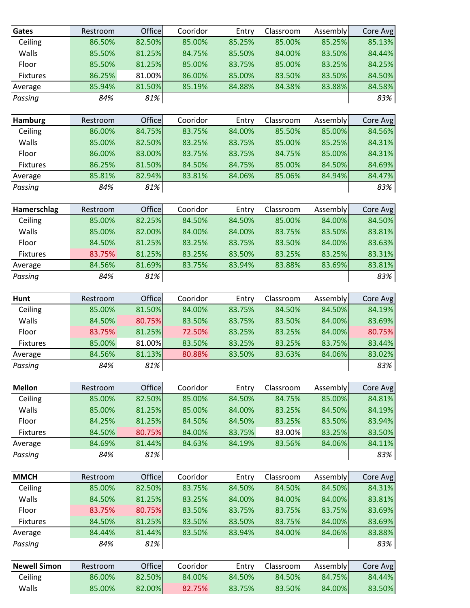| Gates               | Restroom | Office | Cooridor | Entry  | Classroom | Assembly     | Core Avg |
|---------------------|----------|--------|----------|--------|-----------|--------------|----------|
| Ceiling             | 86.50%   | 82.50% | 85.00%   | 85.25% | 85.00%    | 85.25%       | 85.13%   |
| Walls               | 85.50%   | 81.25% | 84.75%   | 85.50% | 84.00%    | 83.50%       | 84.44%   |
| Floor               | 85.50%   | 81.25% | 85.00%   | 83.75% | 85.00%    | 83.25%       | 84.25%   |
| Fixtures            | 86.25%   | 81.00% | 86.00%   | 85.00% | 83.50%    | 83.50%       | 84.50%   |
| Average             | 85.94%   | 81.50% | 85.19%   | 84.88% | 84.38%    | 83.88%       | 84.58%   |
| Passing             | 84%      | 81%    |          |        |           |              | 83%      |
|                     |          |        |          |        |           |              |          |
| <b>Hamburg</b>      | Restroom | Office | Cooridor | Entry  | Classroom | Assembly     | Core Avg |
| Ceiling             | 86.00%   | 84.75% | 83.75%   | 84.00% | 85.50%    | 85.00%       | 84.56%   |
| Walls               | 85.00%   | 82.50% | 83.25%   | 83.75% | 85.00%    | 85.25%       | 84.31%   |
| Floor               | 86.00%   | 83.00% | 83.75%   | 83.75% | 84.75%    | 85.00%       | 84.31%   |
| Fixtures            | 86.25%   | 81.50% | 84.50%   | 84.75% | 85.00%    | 84.50%       | 84.69%   |
| Average             | 85.81%   | 82.94% | 83.81%   | 84.06% | 85.06%    | 84.94%       | 84.47%   |
| Passing             | 84%      | 81%    |          |        |           |              | 83%      |
| Hamerschlag         | Restroom | Office | Cooridor | Entry  | Classroom | Assembly     | Core Avg |
| Ceiling             | 85.00%   | 82.25% | 84.50%   | 84.50% | 85.00%    | 84.00%       | 84.50%   |
| Walls               | 85.00%   | 82.00% | 84.00%   | 84.00% | 83.75%    | 83.50%       | 83.81%   |
| Floor               | 84.50%   | 81.25% | 83.25%   | 83.75% | 83.50%    | 84.00%       | 83.63%   |
| Fixtures            | 83.75%   | 81.25% | 83.25%   | 83.50% | 83.25%    | 83.25%       | 83.31%   |
| Average             | 84.56%   | 81.69% | 83.75%   | 83.94% | 83.88%    | 83.69%       | 83.81%   |
| Passing             | 84%      | 81%    |          |        |           |              | 83%      |
| <b>Hunt</b>         | Restroom | Office | Cooridor | Entry  | Classroom | Assembly     | Core Avg |
| Ceiling             | 85.00%   | 81.50% | 84.00%   | 83.75% | 84.50%    | 84.50%       | 84.19%   |
| Walls               | 84.50%   | 80.75% | 83.50%   | 83.75% | 83.50%    | 84.00%       | 83.69%   |
| Floor               | 83.75%   | 81.25% | 72.50%   | 83.25% | 83.25%    | 84.00%       | 80.75%   |
| Fixtures            | 85.00%   | 81.00% | 83.50%   | 83.25% | 83.25%    | 83.75%       | 83.44%   |
| Average             | 84.56%   | 81.13% | 80.88%   | 83.50% | 83.63%    | 84.06%       | 83.02%   |
| Passing             | 84%      | $81\%$ |          |        |           | $\mathbf{I}$ | 83%      |
| <b>Mellon</b>       | Restroom | Office | Cooridor | Entry  | Classroom | Assembly     | Core Avg |
| Ceiling             | 85.00%   | 82.50% | 85.00%   | 84.50% | 84.75%    | 85.00%       | 84.81%   |
| Walls               | 85.00%   | 81.25% | 85.00%   | 84.00% | 83.25%    | 84.50%       | 84.19%   |
| Floor               | 84.25%   | 81.25% | 84.50%   | 84.50% | 83.25%    | 83.50%       | 83.94%   |
| Fixtures            | 84.50%   | 80.75% | 84.00%   | 83.75% | 83.00%    | 83.25%       | 83.50%   |
| Average             | 84.69%   | 81.44% | 84.63%   | 84.19% | 83.56%    | 84.06%       | 84.11%   |
| Passing             | 84%      | 81%    |          |        |           |              | 83%      |
| <b>MMCH</b>         | Restroom | Office | Cooridor | Entry  | Classroom | Assembly     | Core Avg |
| Ceiling             | 85.00%   | 82.50% | 83.75%   | 84.50% | 84.50%    | 84.50%       | 84.31%   |
| Walls               | 84.50%   | 81.25% | 83.25%   | 84.00% | 84.00%    | 84.00%       | 83.81%   |
| Floor               | 83.75%   | 80.75% | 83.50%   | 83.75% | 83.75%    | 83.75%       | 83.69%   |
| Fixtures            | 84.50%   | 81.25% | 83.50%   | 83.50% | 83.75%    | 84.00%       | 83.69%   |
| Average             | 84.44%   | 81.44% | 83.50%   | 83.94% | 84.00%    | 84.06%       | 83.88%   |
| Passing             | 84%      | 81%    |          |        |           |              | 83%      |
|                     |          |        |          |        |           |              |          |
| <b>Newell Simon</b> | Restroom | Office | Cooridor | Entry  | Classroom | Assembly     | Core Avg |
| Ceiling             | 86.00%   | 82.50% | 84.00%   | 84.50% | 84.50%    | 84.75%       | 84.44%   |
| Walls               | 85.00%   | 82.00% | 82.75%   | 83.75% | 83.50%    | 84.00%       | 83.50%   |
|                     |          |        |          |        |           |              |          |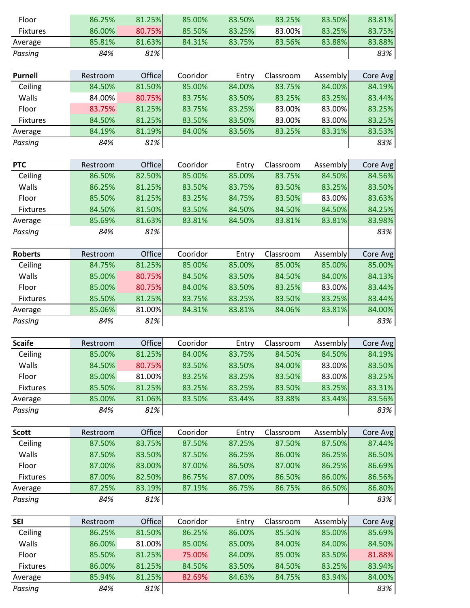| Floor               | 86.25%           | 81.25%           | 85.00%           | 83.50%           | 83.25%           | 83.50%           | 83.81%           |
|---------------------|------------------|------------------|------------------|------------------|------------------|------------------|------------------|
| <b>Fixtures</b>     | 86.00%           | 80.75%           | 85.50%           | 83.25%           | 83.00%           | 83.25%           | 83.75%           |
| Average             | 85.81%           | 81.63%           | 84.31%           | 83.75%           | 83.56%           | 83.88%           | 83.88%           |
| Passing             | 84%              | 81%              |                  |                  |                  |                  | 83%              |
| <b>Purnell</b>      | Restroom         | Office           | Cooridor         | Entry            | Classroom        | Assembly         | Core Avg         |
| Ceiling             | 84.50%           | 81.50%           | 85.00%           | 84.00%           | 83.75%           | 84.00%           | 84.19%           |
| Walls               | 84.00%           | 80.75%           | 83.75%           | 83.50%           | 83.25%           | 83.25%           | 83.44%           |
| Floor               | 83.75%           | 81.25%           | 83.75%           | 83.25%           | 83.00%           | 83.00%           | 83.25%           |
| Fixtures            | 84.50%           | 81.25%           | 83.50%           | 83.50%           | 83.00%           | 83.00%           | 83.25%           |
| Average             | 84.19%           | 81.19%           | 84.00%           | 83.56%           | 83.25%           | 83.31%           | 83.53%           |
| Passing             | 84%              | 81%              |                  |                  |                  |                  | 83%              |
|                     |                  |                  |                  |                  |                  |                  |                  |
| <b>PTC</b>          | Restroom         | Office           | Cooridor         | Entry            | Classroom        | Assembly         | Core Avg         |
| Ceiling             | 86.50%           | 82.50%           | 85.00%           | 85.00%           | 83.75%           | 84.50%           | 84.56%           |
| Walls               | 86.25%           | 81.25%           | 83.50%           | 83.75%           | 83.50%           | 83.25%           | 83.50%           |
| Floor               | 85.50%           | 81.25%           | 83.25%           | 84.75%           | 83.50%           | 83.00%           | 83.63%           |
| <b>Fixtures</b>     | 84.50%           | 81.50%           | 83.50%           | 84.50%           | 84.50%           | 84.50%           | 84.25%           |
| Average             | 85.69%           | 81.63%           | 83.81%           | 84.50%           | 83.81%           | 83.81%           | 83.98%           |
| Passing             | 84%              | 81%              |                  |                  |                  |                  | 83%              |
| <b>Roberts</b>      | Restroom         | Office           | Cooridor         | Entry            | Classroom        | Assembly         | Core Avg         |
| Ceiling             | 84.75%           | 81.25%           | 85.00%           | 85.00%           | 85.00%           | 85.00%           | 85.00%           |
| Walls               | 85.00%           | 80.75%           | 84.50%           | 83.50%           | 84.50%           | 84.00%           | 84.13%           |
| Floor               | 85.00%           | 80.75%           | 84.00%           | 83.50%           | 83.25%           | 83.00%           | 83.44%           |
| Fixtures            | 85.50%           | 81.25%           | 83.75%           | 83.25%           | 83.50%           | 83.25%           | 83.44%           |
|                     |                  |                  |                  |                  |                  |                  |                  |
| Average             | 85.06%           | 81.00%           | 84.31%           | 83.81%           | 84.06%           | 83.81%           | 84.00%           |
| Passing             | 84%              | 81%              |                  |                  |                  |                  | 83%              |
| <b>Scaife</b>       | Restroom         | Office           | Cooridor         | Entry            | Classroom        | Assembly         | Core Avg         |
| Ceiling             | 85.00%           | 81.25%           | 84.00%           | 83.75%           | 84.50%           | 84.50%           | 84.19%           |
| Walls               | 84.50%           | 80.75%           | 83.50%           | 83.50%           | 84.00%           | 83.00%           | 83.50%           |
| Floor               | 85.00%           | 81.00%           | 83.25%           | 83.25%           | 83.50%           | 83.00%           | 83.25%           |
| <b>Fixtures</b>     | 85.50%           | 81.25%           | 83.25%           | 83.25%           | 83.50%           | 83.25%           | 83.31%           |
| Average             | 85.00%           | 81.06%           | 83.50%           | 83.44%           | 83.88%           | 83.44%           | 83.56%           |
| Passing             | 84%              | 81%              |                  |                  |                  |                  | 83%              |
| <b>Scott</b>        | Restroom         | Office           | Cooridor         | Entry            | Classroom        | Assembly         | Core Avg         |
| Ceiling             | 87.50%           | 83.75%           | 87.50%           | 87.25%           | 87.50%           | 87.50%           | 87.44%           |
| Walls               | 87.50%           | 83.50%           | 87.50%           | 86.25%           | 86.00%           | 86.25%           | 86.50%           |
| Floor               | 87.00%           | 83.00%           | 87.00%           | 86.50%           | 87.00%           | 86.25%           | 86.69%           |
| <b>Fixtures</b>     | 87.00%           | 82.50%           | 86.75%           | 87.00%           | 86.50%           | 86.00%           | 86.56%           |
| Average             | 87.25%           | 83.19%           | 87.19%           | 86.75%           | 86.75%           | 86.50%           | 86.80%           |
| Passing             | 84%              | 81%              |                  |                  |                  |                  | 83%              |
|                     |                  |                  |                  |                  |                  |                  |                  |
| <b>SEI</b>          | Restroom         | Office           | Cooridor         | Entry            | Classroom        | Assembly         | Core Avg         |
| Ceiling             | 86.25%           | 81.50%           | 86.25%           | 86.00%           | 85.50%           | 85.00%           | 85.69%           |
| Walls               | 86.00%           | 81.00%           | 85.00%           | 85.00%           | 84.00%           | 84.00%           | 84.50%           |
| Floor               | 85.50%           | 81.25%           | 75.00%           | 84.00%           | 85.00%           | 83.50%           | 81.88%           |
| Fixtures<br>Average | 86.00%<br>85.94% | 81.25%<br>81.25% | 84.50%<br>82.69% | 83.50%<br>84.63% | 84.50%<br>84.75% | 83.25%<br>83.94% | 83.94%<br>84.00% |